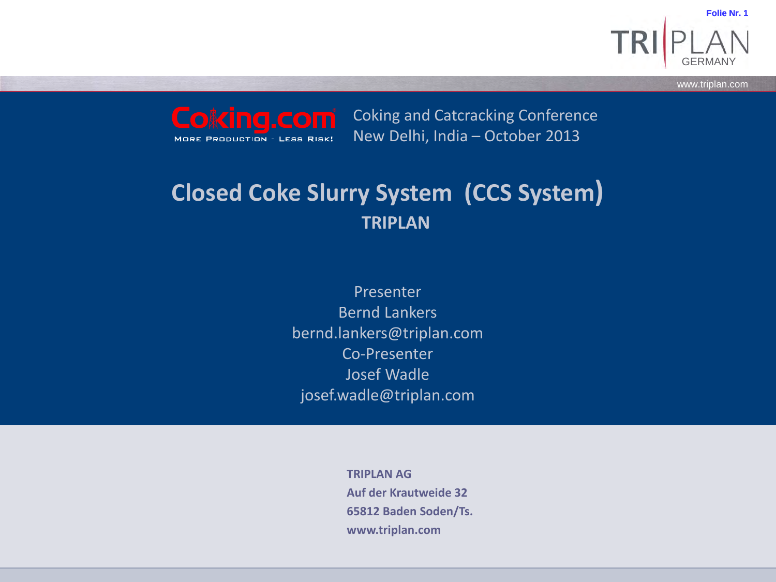GERMANY **Folie Nr. 1**

**www.triplan.com** www.triplan.com

Coking and Catcracking Conference New Delhi, India – October 2013**MORE PRODUCTION - LESS RISK!** 

### **Closed Coke Slurry System (CCS System) TRIPLAN**

Presenter Bernd Lankers bernd.lankers@triplan.com Co-Presenter Josef Wadle josef.wadle@triplan.com

> **TRIPLAN AG Auf der Krautweide 32 65812 Baden Soden/Ts. www.triplan.com**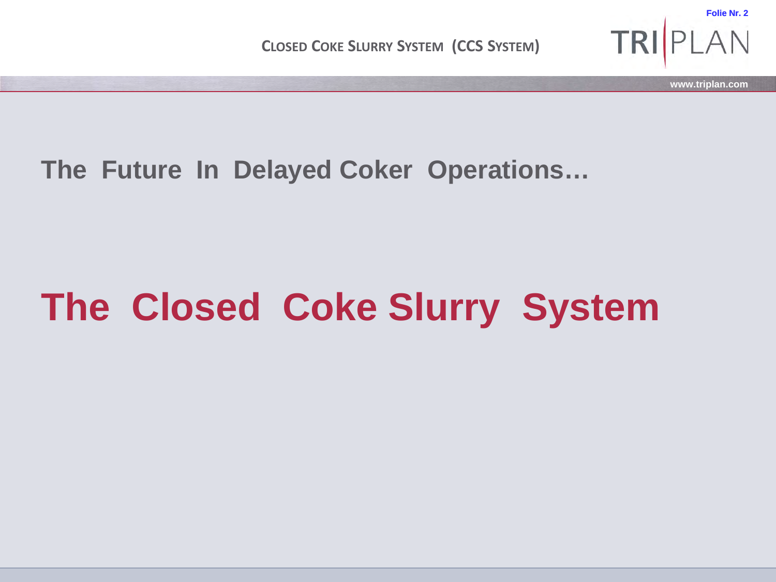

**The Future In Delayed Coker Operations…**

# **The Closed Coke Slurry System**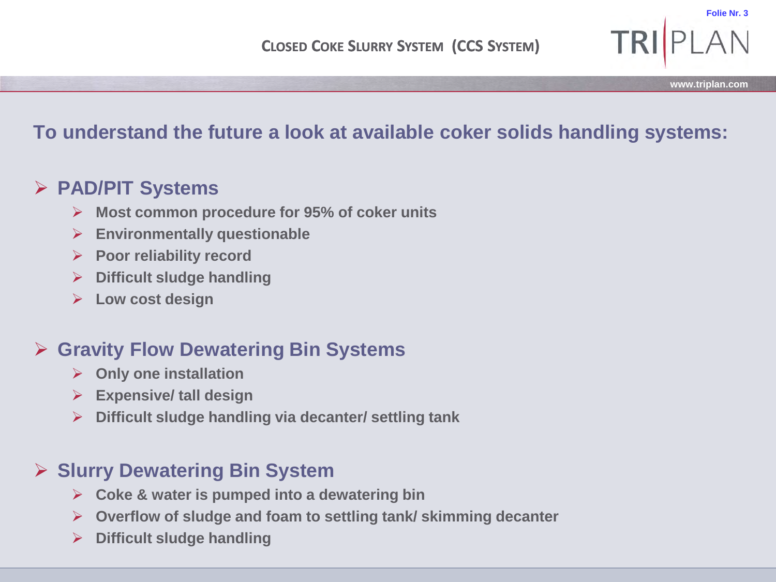### **To understand the future a look at available coker solids handling systems:**

#### **PAD/PIT Systems**

- **Most common procedure for 95% of coker units**
- **Environmentally questionable**
- **Poor reliability record**
- **Difficult sludge handling**
- **Low cost design**

#### **Gravity Flow Dewatering Bin Systems**

- **Only one installation**
- **Expensive/ tall design**
- **Difficult sludge handling via decanter/ settling tank**

### **Slurry Dewatering Bin System**

- **Coke & water is pumped into a dewatering bin**
- **Overflow of sludge and foam to settling tank/ skimming decanter**
- **Difficult sludge handling**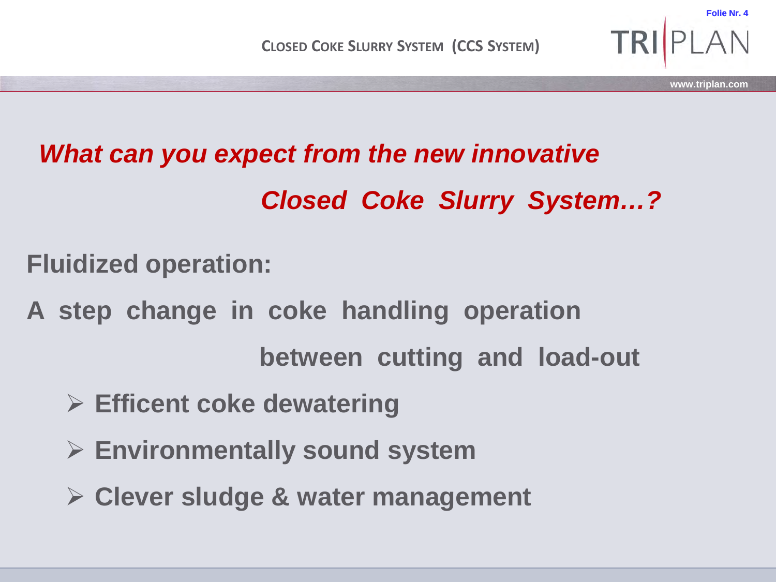

## *What can you expect from the new innovative*

*Closed Coke Slurry System…?*

**Fluidized operation:**

**A step change in coke handling operation**

**between cutting and load-out**

- **Efficent coke dewatering**
- **Environmentally sound system**
- **Clever sludge & water management**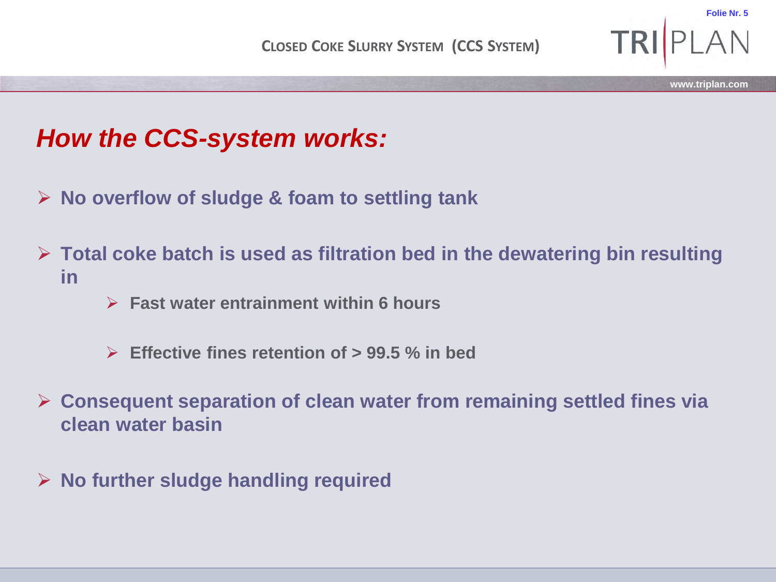

### *How the CCS-system works:*

- **No overflow of sludge & foam to settling tank**
- **Total coke batch is used as filtration bed in the dewatering bin resulting in**
	- **Fast water entrainment within 6 hours**
	- **Effective fines retention of > 99.5 % in bed**
- **Consequent separation of clean water from remaining settled fines via clean water basin**
- **No further sludge handling required**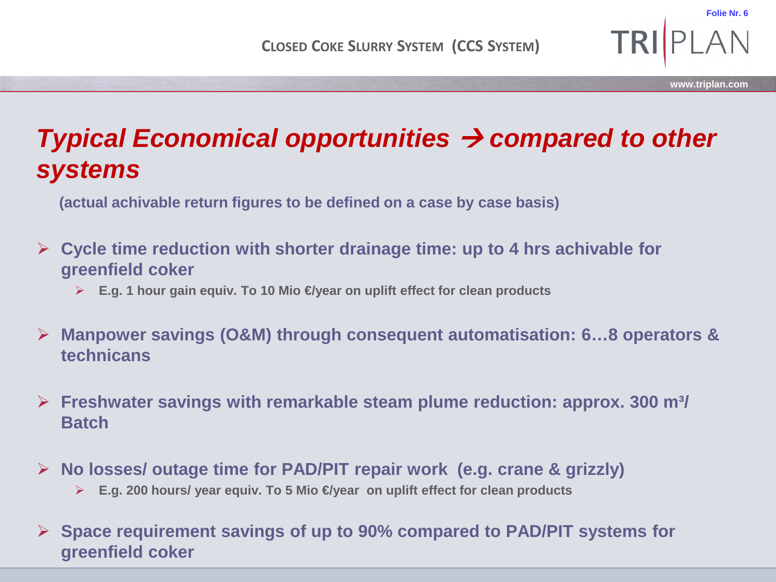### *Typical Economical opportunities compared to other systems*

**(actual achivable return figures to be defined on a case by case basis)**

#### **Cycle time reduction with shorter drainage time: up to 4 hrs achivable for greenfield coker**

- **E.g. 1 hour gain equiv. To 10 Mio €/year on uplift effect for clean products**
- **Manpower savings (O&M) through consequent automatisation: 6…8 operators & technicans**
- **Freshwater savings with remarkable steam plume reduction: approx. 300 m³/ Batch**
- **No losses/ outage time for PAD/PIT repair work (e.g. crane & grizzly)**
	- **E.g. 200 hours/ year equiv. To 5 Mio €/year on uplift effect for clean products**
- **Space requirement savings of up to 90% compared to PAD/PIT systems for greenfield coker**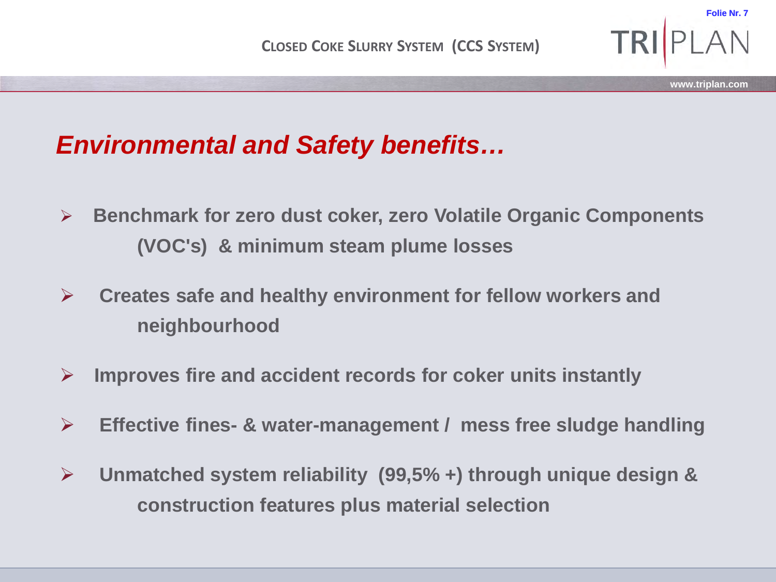### *Environmental and Safety benefits…*

- **Benchmark for zero dust coker, zero Volatile Organic Components (VOC's) & minimum steam plume losses**
- **Creates safe and healthy environment for fellow workers and neighbourhood**
- **Improves fire and accident records for coker units instantly**
- **Effective fines- & water-management / mess free sludge handling**
- **Unmatched system reliability (99,5% +) through unique design & construction features plus material selection**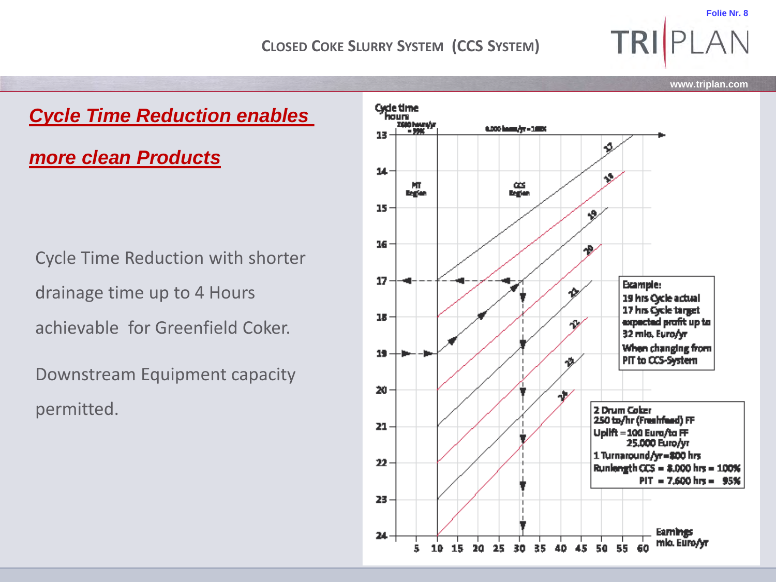

24

5.

10 15 20 25

30 35



Cycle Time Reduction with shorter drainage time up to 4 Hours achievable for Greenfield Coker.

*more clean Products*

Downstream Equipment capacity permitted.

**www.triplan.com**

 $PIT = 7,600$  hrs =  $95%$ 

Earnings

50 55

60

40 45

mlo. Euro/yr

**TRIP**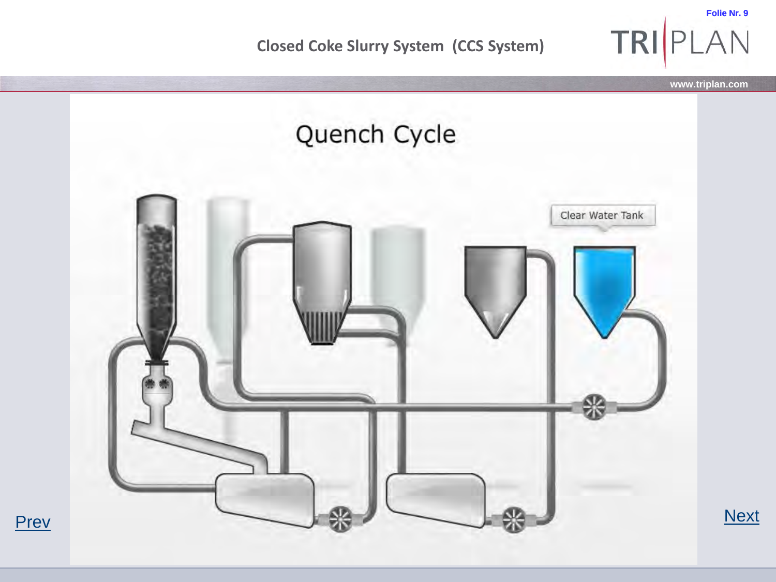**Closed Coke Slurry System (CCS System)** 

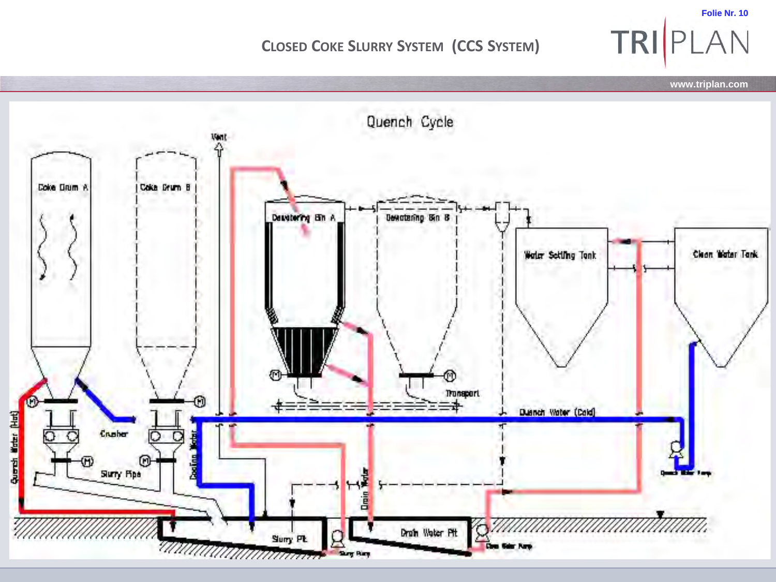**Folie Nr. 10** TRIPLAN

**www.triplan.com**

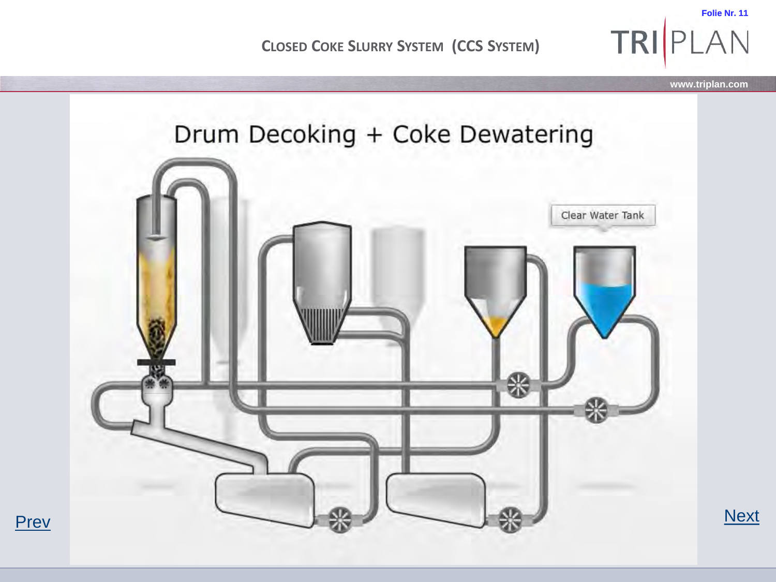**Folie Nr. 11 TRI PLAN** 



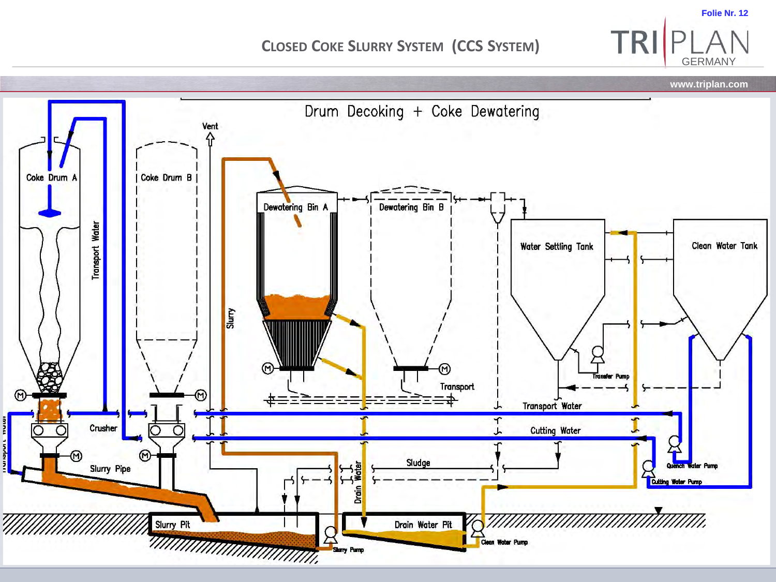**www.triplan.com** Drum Decoking + Coke Dewatering Vent 슈 Coke Drum A Coke Drum B Dewatering Bin A Dewatering Bin B Transport Water Water Settling Tank Clean Water Tank Slury ⋒ **ranater Pump** Transport ନ Transport Water Crusher **Cutting Water**  $(9)$ Sludge Drain Water Slurry Pipe **Cutting Water Pump** '/////// Slurry Pit Drain Water Pit Tuunuumuunnuumi Sany Pamp Clean Water Pump

**Folie Nr. 12**

GERMANY

TRI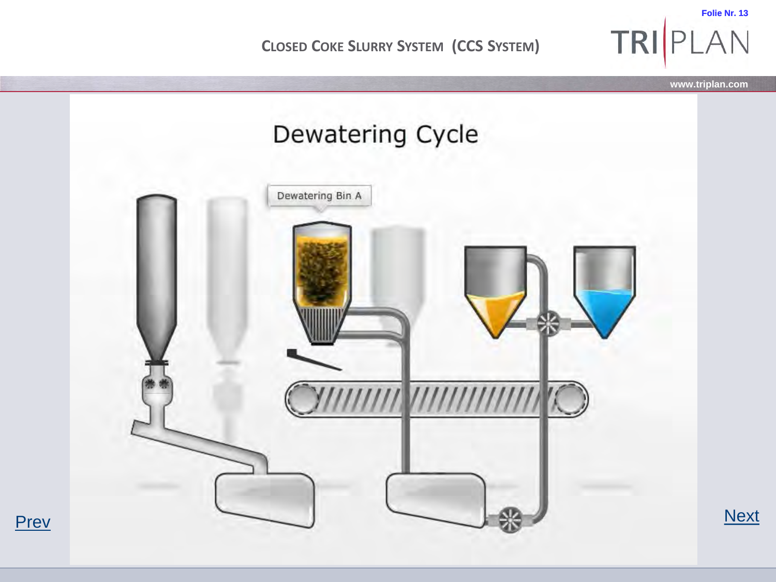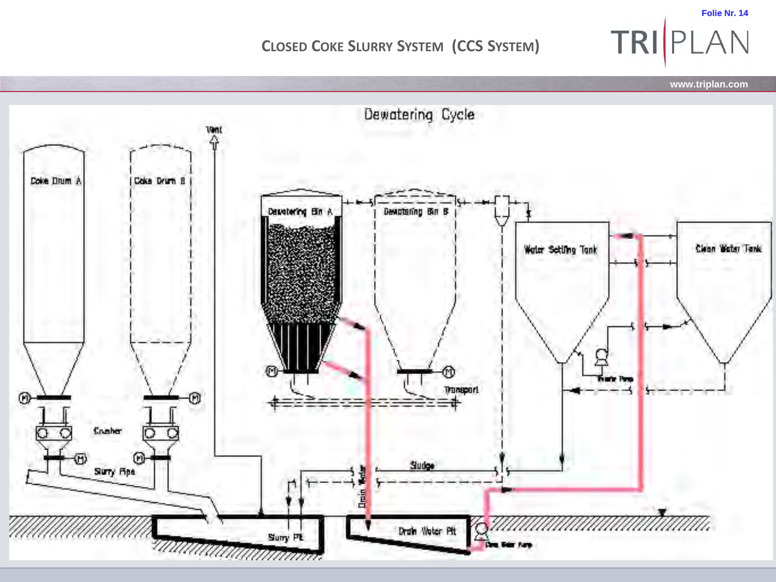TRIPLAN **www.triplan.com** Dewatering Cycle

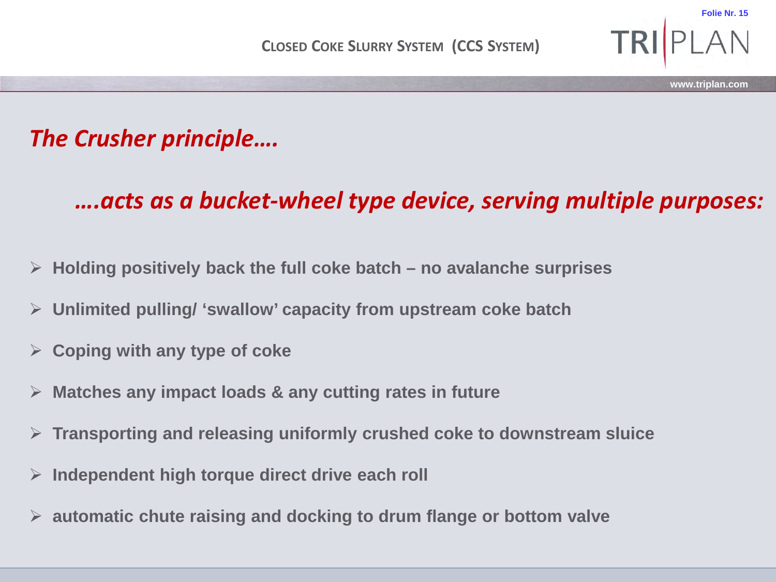### *The Crusher principle….*

### *….acts as a bucket-wheel type device, serving multiple purposes:*

**www.triplan.com**

- **Holding positively back the full coke batch – no avalanche surprises**
- **Unlimited pulling/ 'swallow' capacity from upstream coke batch**
- **Coping with any type of coke**
- **Matches any impact loads & any cutting rates in future**
- **Transporting and releasing uniformly crushed coke to downstream sluice**
- **Independent high torque direct drive each roll**
- **automatic chute raising and docking to drum flange or bottom valve**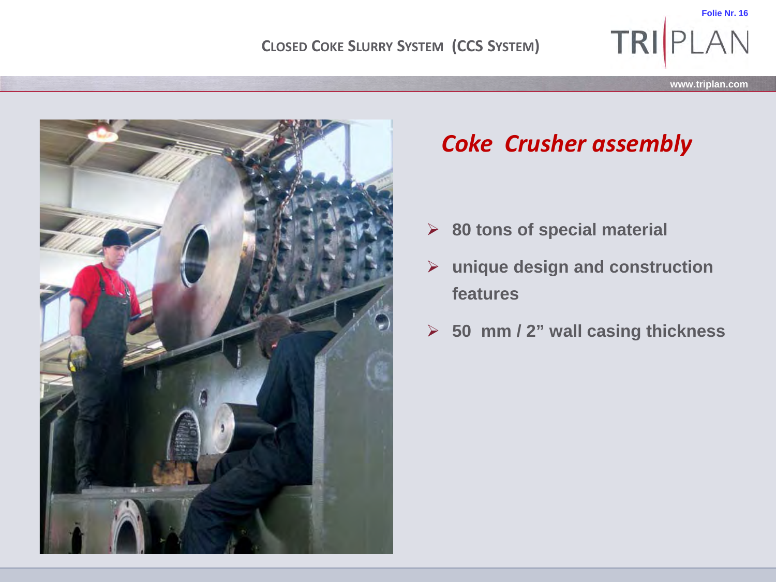

**www.triplan.com**

**TRI PLAN** 



### *Coke Crusher assembly*

- **80 tons of special material**
- **unique design and construction features**
- **50 mm / 2" wall casing thickness**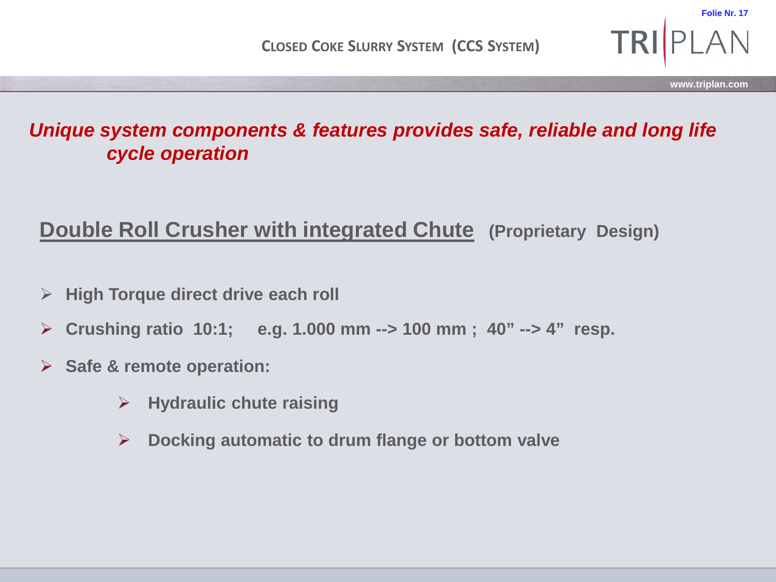**TRI** 

**Folie Nr. 17**

### *Unique system components & features provides safe, reliable and long life cycle operation*

### **Double Roll Crusher with integrated Chute (Proprietary Design)**

- **High Torque direct drive each roll**
- **Crushing ratio 10:1; e.g. 1.000 mm --> 100 mm ; 40" --> 4" resp.**
- **Safe & remote operation:** 
	- **Hydraulic chute raising**
	- **Docking automatic to drum flange or bottom valve**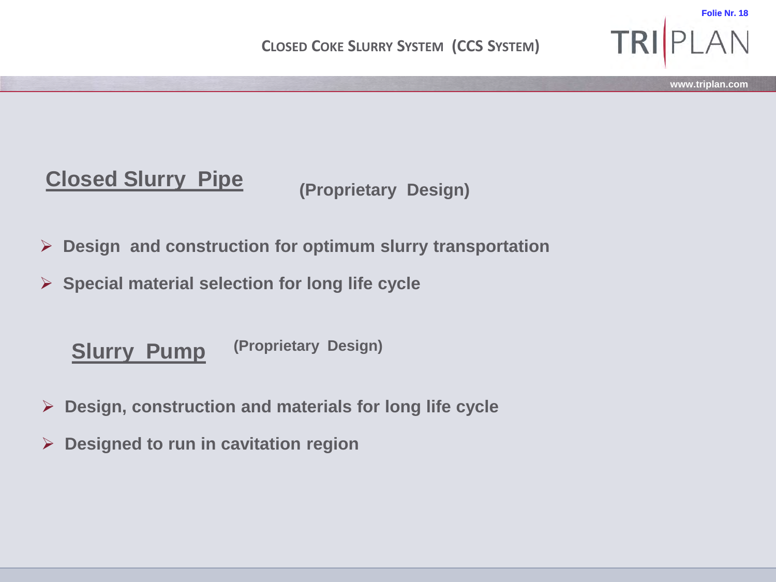

### **Closed Slurry Pipe**

**(Proprietary Design)** 

- **Design and construction for optimum slurry transportation**
- **Special material selection for long life cycle**

**(Proprietary Design) Slurry Pump**

- **Design, construction and materials for long life cycle**
- **Designed to run in cavitation region**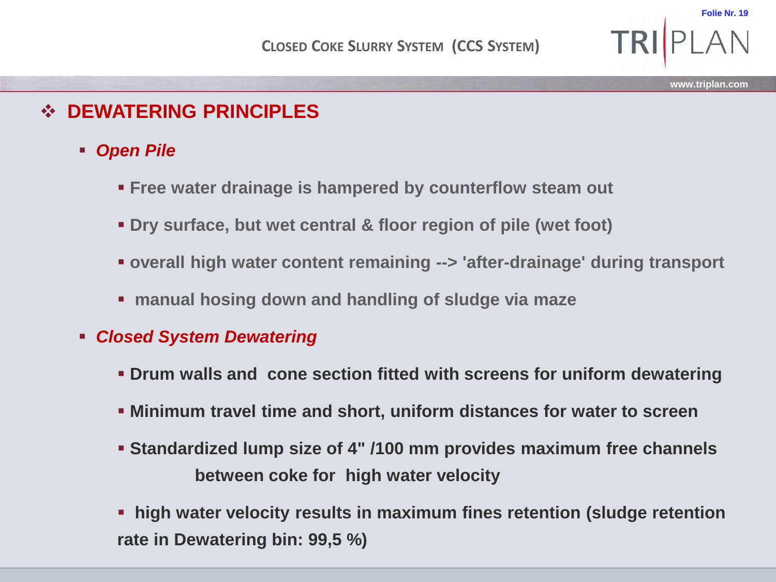### **DEWATERING PRINCIPLES**

- *Open Pile* 
	- **Free water drainage is hampered by counterflow steam out**
	- **Dry surface, but wet central & floor region of pile (wet foot)**
	- **overall high water content remaining --> 'after-drainage' during transport**
	- **manual hosing down and handling of sludge via maze**
- *Closed System Dewatering* 
	- **Drum walls and cone section fitted with screens for uniform dewatering**
	- **Minimum travel time and short, uniform distances for water to screen**
	- **Standardized lump size of 4" /100 mm provides maximum free channels between coke for high water velocity**
	- **high water velocity results in maximum fines retention (sludge retention rate in Dewatering bin: 99,5 %)**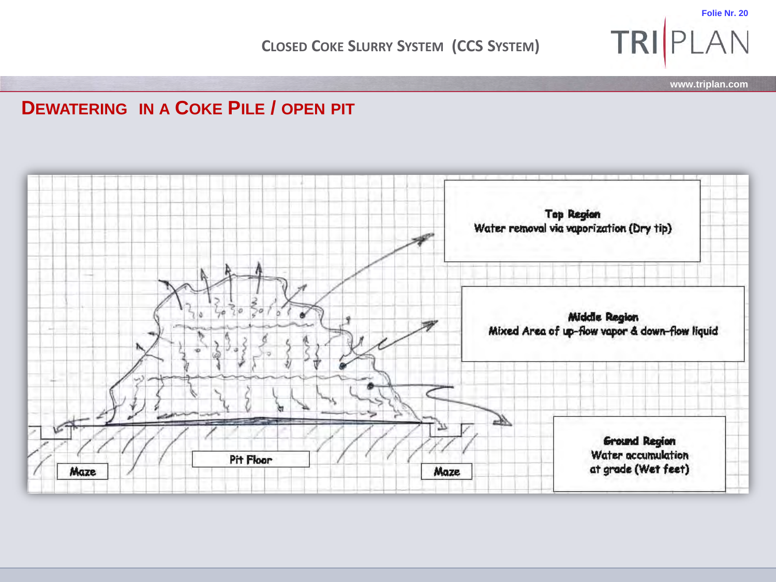**Folie Nr. 20**

**www.triplan.com**

TRIPLAN

#### **DEWATERING IN A COKE PILE / OPEN PIT**

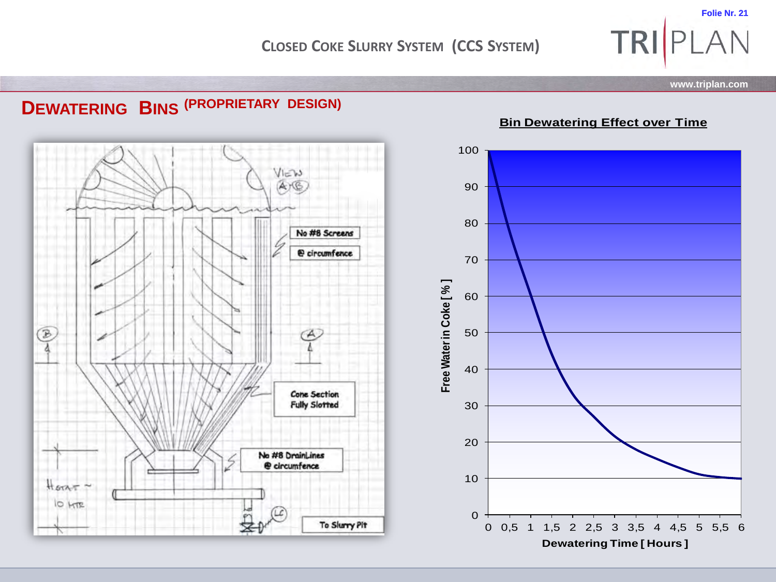**www.triplan.com**

TRIPLAN

![](_page_20_Figure_3.jpeg)

![](_page_20_Figure_4.jpeg)

**Bin Dewatering Effect over Time**

![](_page_20_Figure_6.jpeg)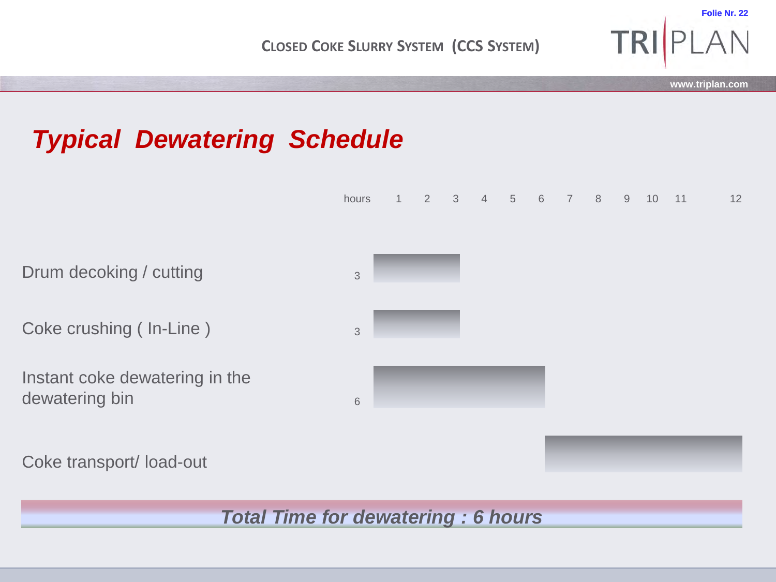**TRI** 

**Folie Nr. 22**

## *Typical Dewatering Schedule*

![](_page_21_Figure_3.jpeg)

Coke crushing ( $\ln$ -Line )  $\frac{3}{3}$ 

Instant coke dewatering in the dewatering bin 6 and 6 and 6 and 6 and 6 and 6 and 6 and 6 and 6 and 6 and 6 and 6 and 6 and 6 and 6 and 6 and 6 and 6 and 6 and 6 and 6 and 6 and 6 and 6 and 6 and 6 and 6 and 6 and 6 and 6 and 6 and 6 and 6 and 6 and 6 a

Coke transport/ load-out

*Total Time for dewatering : 6 hours*

![](_page_21_Figure_8.jpeg)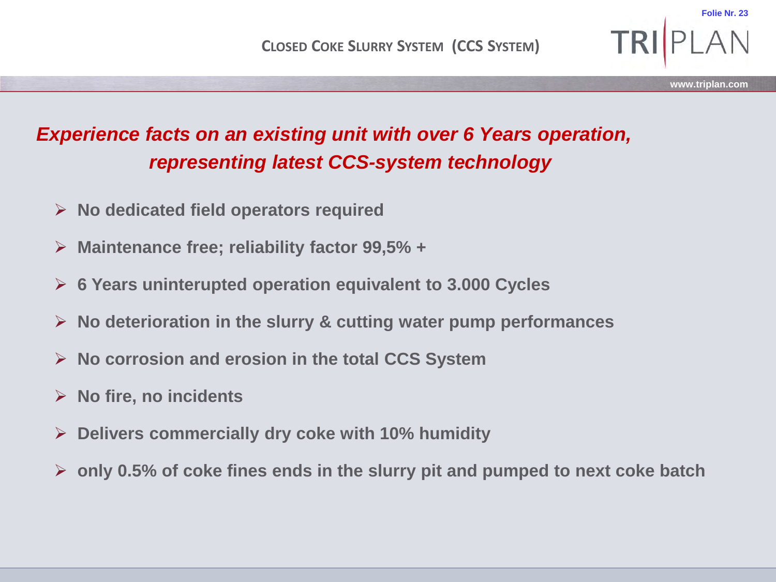### *Experience facts on an existing unit with over 6 Years operation, representing latest CCS-system technology*

- **No dedicated field operators required**
- **Maintenance free; reliability factor 99,5% +**
- **6 Years uninterupted operation equivalent to 3.000 Cycles**
- **No deterioration in the slurry & cutting water pump performances**
- **No corrosion and erosion in the total CCS System**
- **No fire, no incidents**
- **Delivers commercially dry coke with 10% humidity**
- **only 0.5% of coke fines ends in the slurry pit and pumped to next coke batch**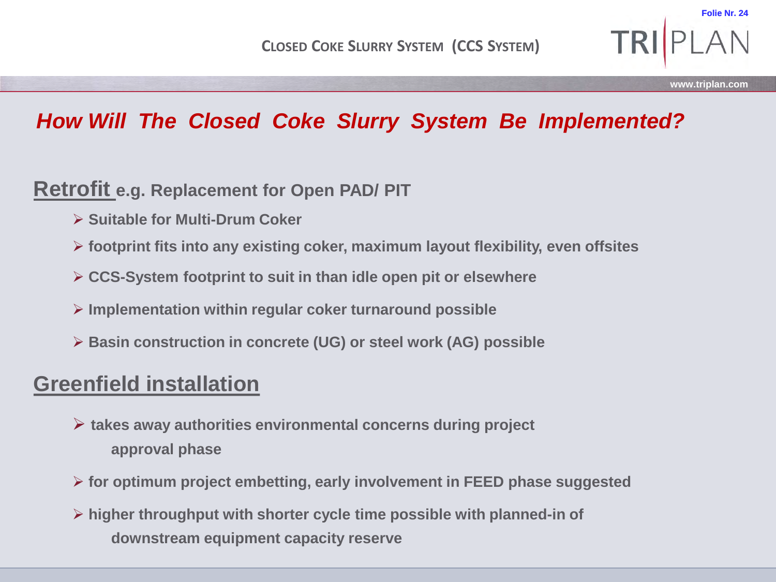**Folie Nr. 2** 

### *How Will The Closed Coke Slurry System Be Implemented?*

#### **Retrofit e.g. Replacement for Open PAD/ PIT**

- **Suitable for Multi-Drum Coker**
- **footprint fits into any existing coker, maximum layout flexibility, even offsites**
- **CCS-System footprint to suit in than idle open pit or elsewhere**
- **Implementation within regular coker turnaround possible**
- **Basin construction in concrete (UG) or steel work (AG) possible**

### **Greenfield installation**

- **takes away authorities environmental concerns during project approval phase**
- **for optimum project embetting, early involvement in FEED phase suggested**
- **higher throughput with shorter cycle time possible with planned-in of downstream equipment capacity reserve**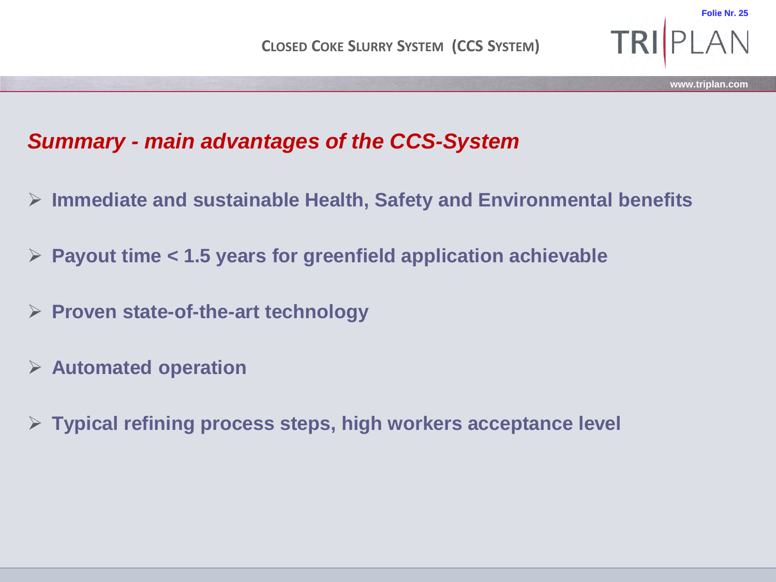**Folie Nr. 25**

### *Summary - main advantages of the CCS-System*

- **Immediate and sustainable Health, Safety and Environmental benefits**
- **Payout time < 1.5 years for greenfield application achievable**
- **Proven state-of-the-art technology**
- **Automated operation**
- **Typical refining process steps, high workers acceptance level**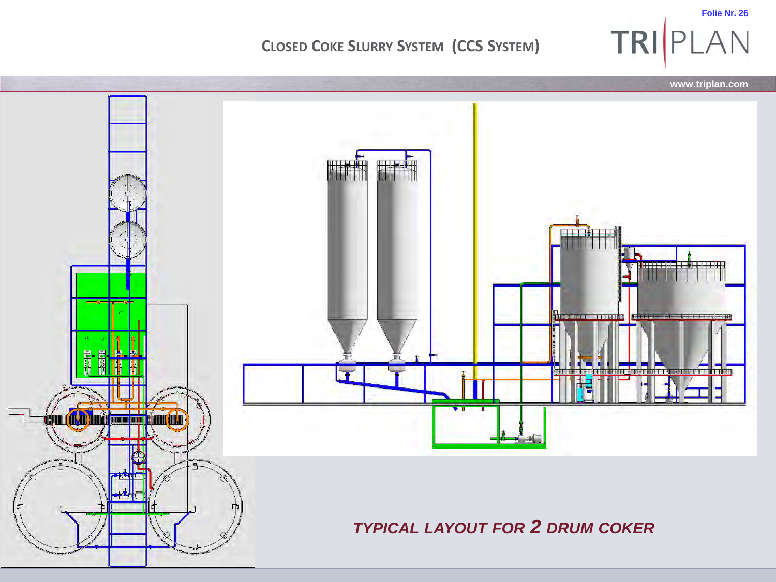![](_page_25_Picture_1.jpeg)

**Folie Nr. 26**

TRIPLAN